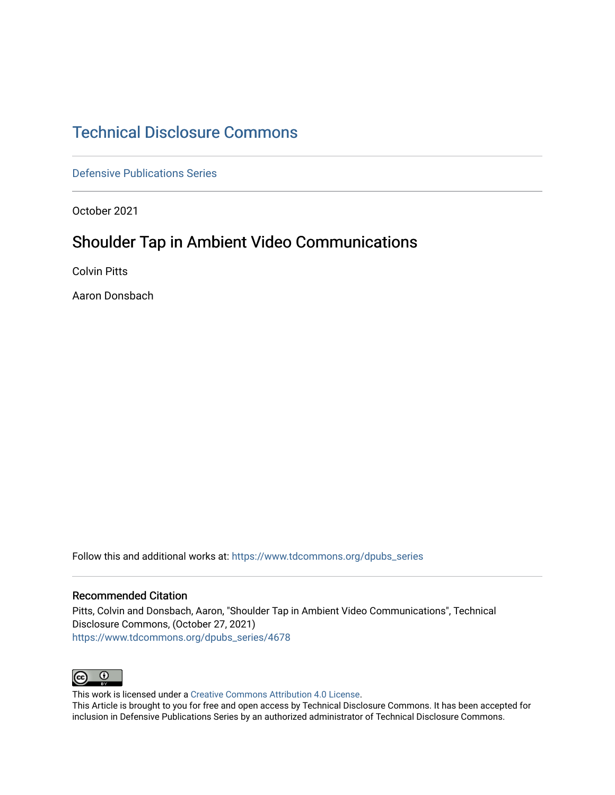# [Technical Disclosure Commons](https://www.tdcommons.org/)

[Defensive Publications Series](https://www.tdcommons.org/dpubs_series)

October 2021

# Shoulder Tap in Ambient Video Communications

Colvin Pitts

Aaron Donsbach

Follow this and additional works at: [https://www.tdcommons.org/dpubs\\_series](https://www.tdcommons.org/dpubs_series?utm_source=www.tdcommons.org%2Fdpubs_series%2F4678&utm_medium=PDF&utm_campaign=PDFCoverPages) 

### Recommended Citation

Pitts, Colvin and Donsbach, Aaron, "Shoulder Tap in Ambient Video Communications", Technical Disclosure Commons, (October 27, 2021) [https://www.tdcommons.org/dpubs\\_series/4678](https://www.tdcommons.org/dpubs_series/4678?utm_source=www.tdcommons.org%2Fdpubs_series%2F4678&utm_medium=PDF&utm_campaign=PDFCoverPages)



This work is licensed under a [Creative Commons Attribution 4.0 License](http://creativecommons.org/licenses/by/4.0/deed.en_US).

This Article is brought to you for free and open access by Technical Disclosure Commons. It has been accepted for inclusion in Defensive Publications Series by an authorized administrator of Technical Disclosure Commons.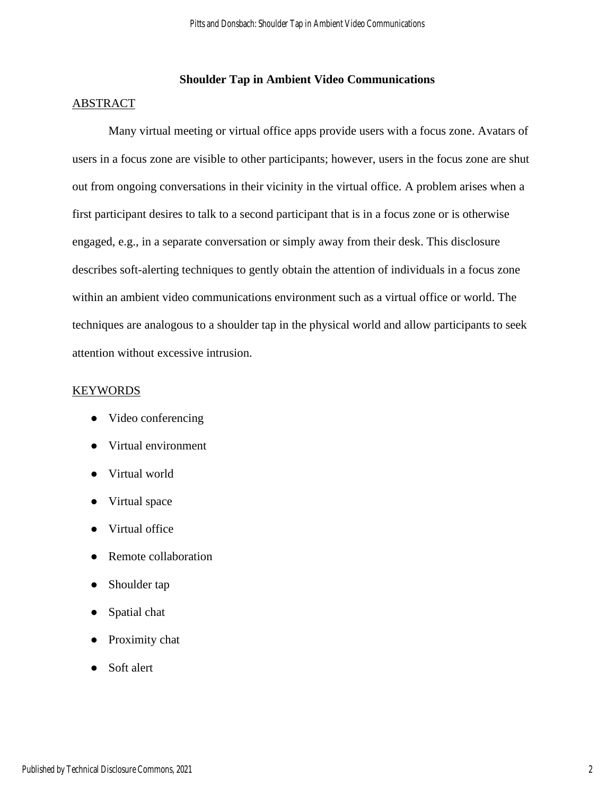# **Shoulder Tap in Ambient Video Communications**

### ABSTRACT

Many virtual meeting or virtual office apps provide users with a focus zone. Avatars of users in a focus zone are visible to other participants; however, users in the focus zone are shut out from ongoing conversations in their vicinity in the virtual office. A problem arises when a first participant desires to talk to a second participant that is in a focus zone or is otherwise engaged, e.g., in a separate conversation or simply away from their desk. This disclosure describes soft-alerting techniques to gently obtain the attention of individuals in a focus zone within an ambient video communications environment such as a virtual office or world. The techniques are analogous to a shoulder tap in the physical world and allow participants to seek attention without excessive intrusion.

#### **KEYWORDS**

- Video conferencing
- Virtual environment
- Virtual world
- Virtual space
- Virtual office
- Remote collaboration
- Shoulder tap
- Spatial chat
- Proximity chat
- Soft alert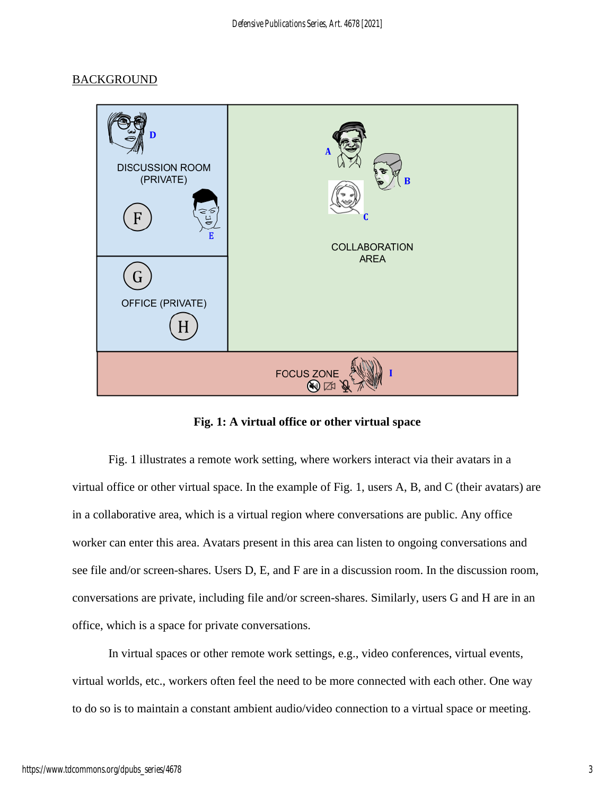# **BACKGROUND**



**Fig. 1: A virtual office or other virtual space**

Fig. 1 illustrates a remote work setting, where workers interact via their avatars in a virtual office or other virtual space. In the example of Fig. 1, users A, B, and C (their avatars) are in a collaborative area, which is a virtual region where conversations are public. Any office worker can enter this area. Avatars present in this area can listen to ongoing conversations and see file and/or screen-shares. Users D, E, and F are in a discussion room. In the discussion room, conversations are private, including file and/or screen-shares. Similarly, users G and H are in an office, which is a space for private conversations.

In virtual spaces or other remote work settings, e.g., video conferences, virtual events, virtual worlds, etc., workers often feel the need to be more connected with each other. One way to do so is to maintain a constant ambient audio/video connection to a virtual space or meeting.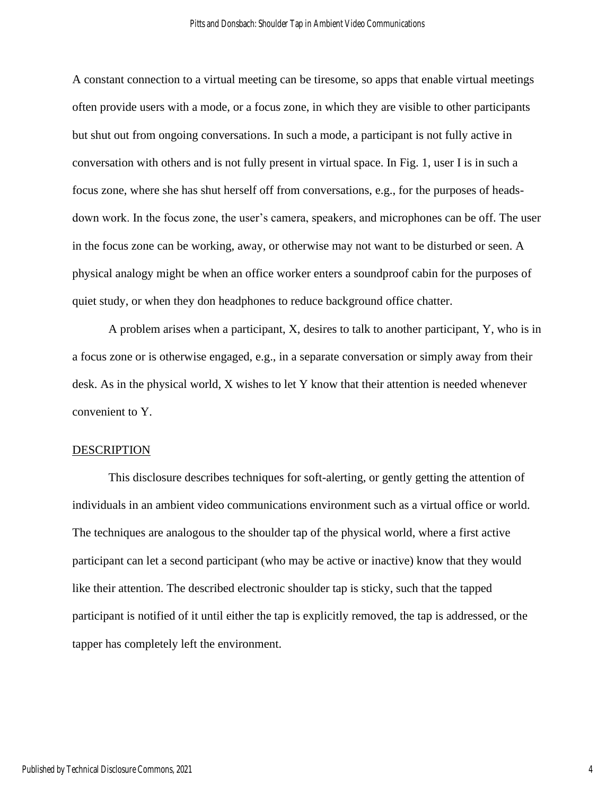A constant connection to a virtual meeting can be tiresome, so apps that enable virtual meetings often provide users with a mode, or a focus zone, in which they are visible to other participants but shut out from ongoing conversations. In such a mode, a participant is not fully active in conversation with others and is not fully present in virtual space. In Fig. 1, user I is in such a focus zone, where she has shut herself off from conversations, e.g., for the purposes of headsdown work. In the focus zone, the user's camera, speakers, and microphones can be off. The user in the focus zone can be working, away, or otherwise may not want to be disturbed or seen. A physical analogy might be when an office worker enters a soundproof cabin for the purposes of quiet study, or when they don headphones to reduce background office chatter.

A problem arises when a participant, X, desires to talk to another participant, Y, who is in a focus zone or is otherwise engaged, e.g., in a separate conversation or simply away from their desk. As in the physical world, X wishes to let Y know that their attention is needed whenever convenient to Y.

#### DESCRIPTION

This disclosure describes techniques for soft-alerting, or gently getting the attention of individuals in an ambient video communications environment such as a virtual office or world. The techniques are analogous to the shoulder tap of the physical world, where a first active participant can let a second participant (who may be active or inactive) know that they would like their attention. The described electronic shoulder tap is sticky, such that the tapped participant is notified of it until either the tap is explicitly removed, the tap is addressed, or the tapper has completely left the environment.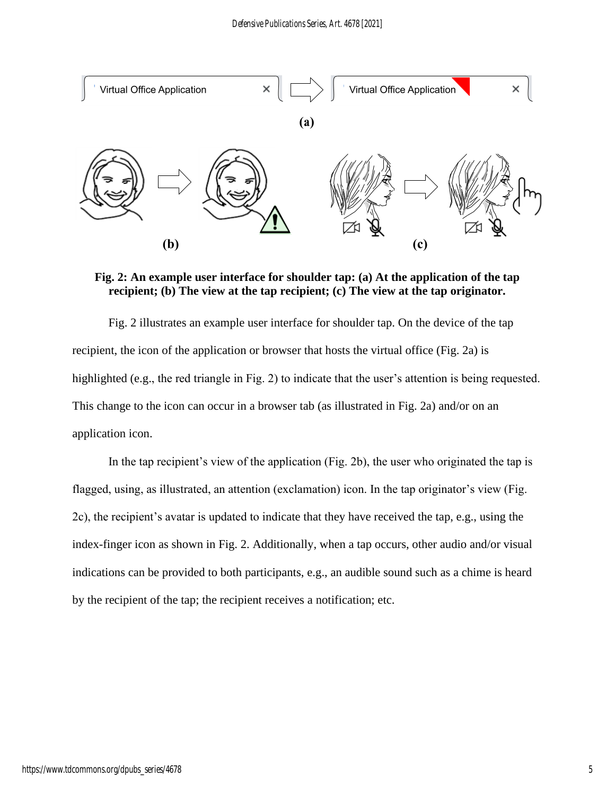

**Fig. 2: An example user interface for shoulder tap: (a) At the application of the tap recipient; (b) The view at the tap recipient; (c) The view at the tap originator.**

Fig. 2 illustrates an example user interface for shoulder tap. On the device of the tap recipient, the icon of the application or browser that hosts the virtual office (Fig. 2a) is highlighted (e.g., the red triangle in Fig. 2) to indicate that the user's attention is being requested. This change to the icon can occur in a browser tab (as illustrated in Fig. 2a) and/or on an application icon.

In the tap recipient's view of the application (Fig. 2b), the user who originated the tap is flagged, using, as illustrated, an attention (exclamation) icon. In the tap originator's view (Fig. 2c), the recipient's avatar is updated to indicate that they have received the tap, e.g., using the index-finger icon as shown in Fig. 2. Additionally, when a tap occurs, other audio and/or visual indications can be provided to both participants, e.g., an audible sound such as a chime is heard by the recipient of the tap; the recipient receives a notification; etc.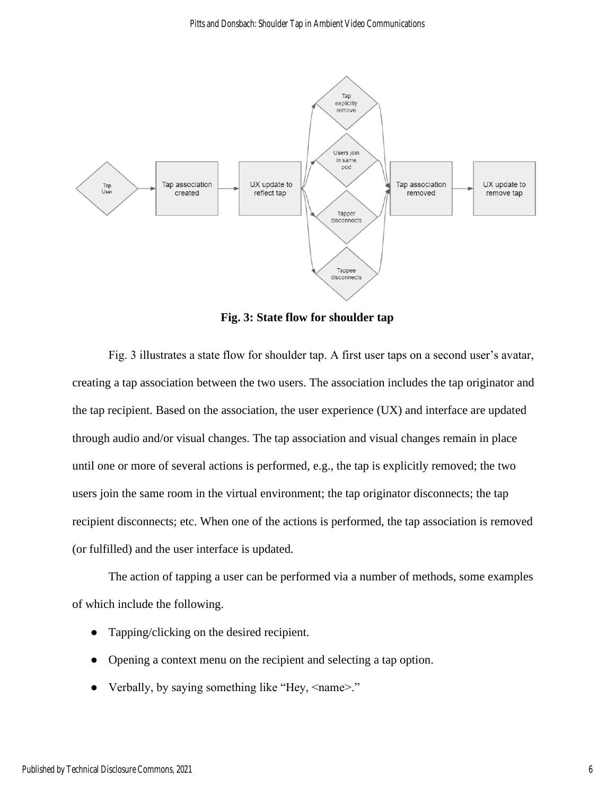

**Fig. 3: State flow for shoulder tap**

Fig. 3 illustrates a state flow for shoulder tap. A first user taps on a second user's avatar, creating a tap association between the two users. The association includes the tap originator and the tap recipient. Based on the association, the user experience (UX) and interface are updated through audio and/or visual changes. The tap association and visual changes remain in place until one or more of several actions is performed, e.g., the tap is explicitly removed; the two users join the same room in the virtual environment; the tap originator disconnects; the tap recipient disconnects; etc. When one of the actions is performed, the tap association is removed (or fulfilled) and the user interface is updated.

The action of tapping a user can be performed via a number of methods, some examples of which include the following.

- Tapping/clicking on the desired recipient.
- Opening a context menu on the recipient and selecting a tap option.
- Verbally, by saying something like "Hey, <name>."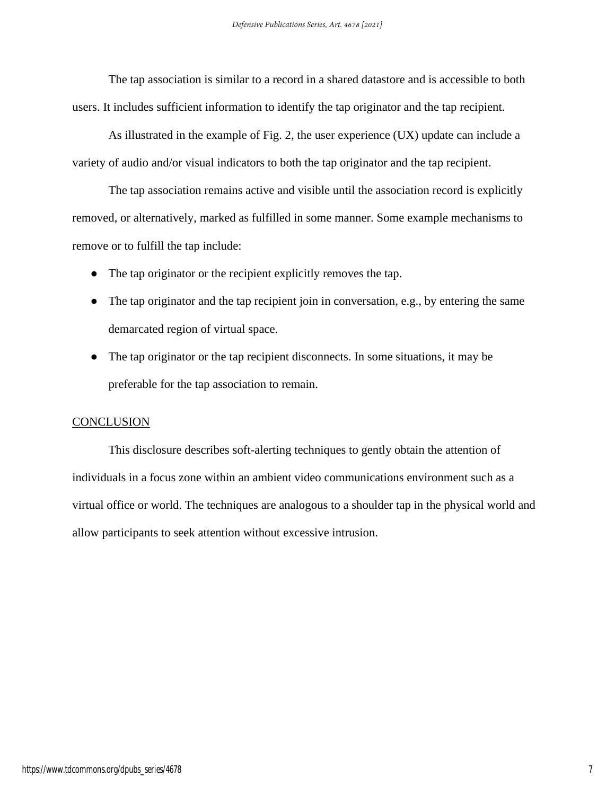The tap association is similar to a record in a shared datastore and is accessible to both users. It includes sufficient information to identify the tap originator and the tap recipient.

As illustrated in the example of Fig. 2, the user experience (UX) update can include a variety of audio and/or visual indicators to both the tap originator and the tap recipient.

The tap association remains active and visible until the association record is explicitly removed, or alternatively, marked as fulfilled in some manner. Some example mechanisms to remove or to fulfill the tap include:

- The tap originator or the recipient explicitly removes the tap.
- The tap originator and the tap recipient join in conversation, e.g., by entering the same demarcated region of virtual space.
- The tap originator or the tap recipient disconnects. In some situations, it may be preferable for the tap association to remain.

## **CONCLUSION**

This disclosure describes soft-alerting techniques to gently obtain the attention of individuals in a focus zone within an ambient video communications environment such as a virtual office or world. The techniques are analogous to a shoulder tap in the physical world and allow participants to seek attention without excessive intrusion.